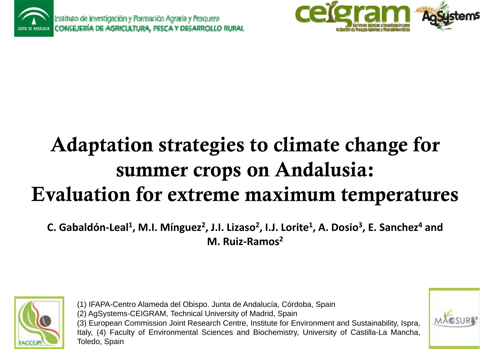



# Adaptation strategies to climate change for summer crops on Andalusia: Evaluation for extreme maximum temperatures

**C. Gabaldón‐Leal1, M.I. Mínguez2, J.I. Lizaso2, I.J. Lorite1, A. Dosio3, E. Sanchez4 ,g ,,,,and M. Ruiz‐Ramos<sup>2</sup>**



(1) IFAPA-Centro Alameda del Obispo. Junta de Andalucía, Córdoba, Spain (2) AgSystems-CEIGRAM, Technical University of Madrid, Spain (3) European Commission Joint Research Centre, Institute for Environment and Sustainability, Ispra, Italy, (4) Faculty of Environmental Sciences and Biochemistry, University of Castilla-La Mancha, Toledo, Spain

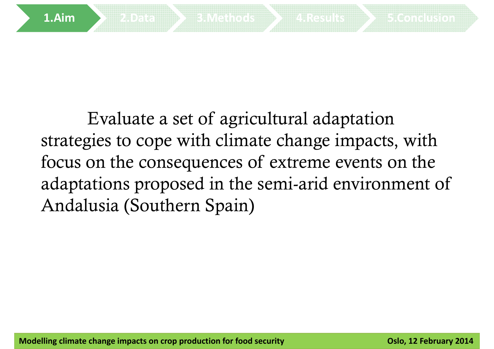

Evaluate a set of agricultural adaptation strategies to cope with climate change impacts, with focus on the consequences of extreme events on the adaptations proposed in the semi-arid environment of Andalusia (Southern Spain)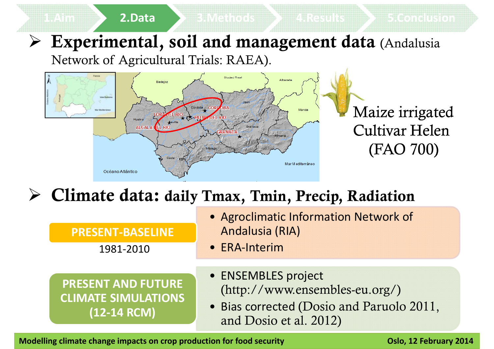# $\triangleright$  Experimental, soil and management data (Andalusia **2.Data 3.Methods 4.Results 5.Conclusion**

Network of Agricultural Trials: RAEA).



### $\triangleright$  Climate data: daily Tmax, Tmin, Precip, Radiation

| <b>PRESENT-BASELINE</b> |
|-------------------------|
|-------------------------|

1981‐2010

- Agroclimatic Information Network of **Andalusia (RIA)**
- ERA‐Interim

#### **PRESENT AND FUTURE CLIMATE SIMULATIONS (12 14 RCM)**

- ENSEMBLES project (http://www.ensembles-eu.org/)
- Bias corrected (Dosio and Paruolo 2011, and Dosio et al. 2012) **‐**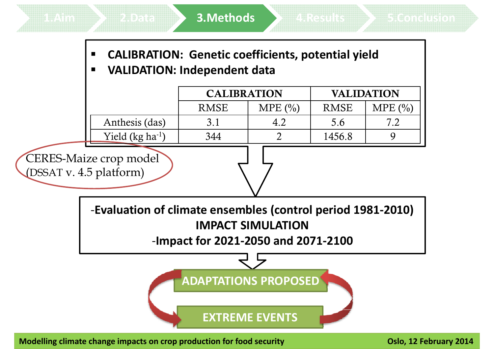- **CALIBRATION: Genetic coefficients, potential yield**
- $\blacksquare$ **VALIDATION: Independent data**

|  |                       | <b>CALIBRATION</b> |        | <b>VALIDATION</b> |        |
|--|-----------------------|--------------------|--------|-------------------|--------|
|  |                       | <b>RMSE</b>        | MPE(%) | <b>RMSE</b>       | MPE(%) |
|  | Anthesis (das)        |                    |        | 5.6               | 71     |
|  | Yield (kg $ha^{-1}$ ) | 344                |        | 1456.8            |        |

CERES-Maize crop model (DSSAT v.  $4.5$  platform)

> ‐**Evaluation of climate ensembles (control period 1981‐2010) IMPACT SIMULATION**

‐**Impact for 2021‐2050 and 2071‐2100**



**EXTREME EVENTS**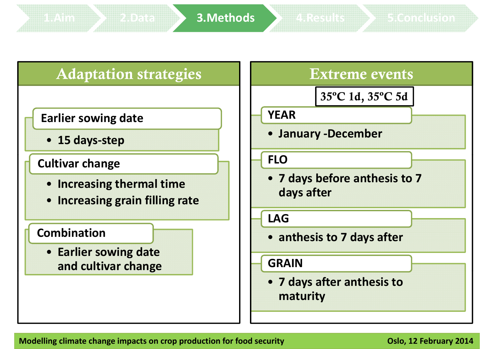### **Earlier so ing date YEAR sowing**

• **15 days‐step**

#### **Cultivar change**

- **Increasing thermal time**
- **Increasing grain filling rate**

#### **Combination**

• **Earlier sowing date and cultivar change**

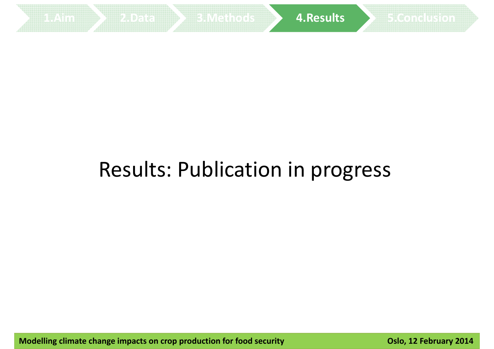

# Results: Publication in progress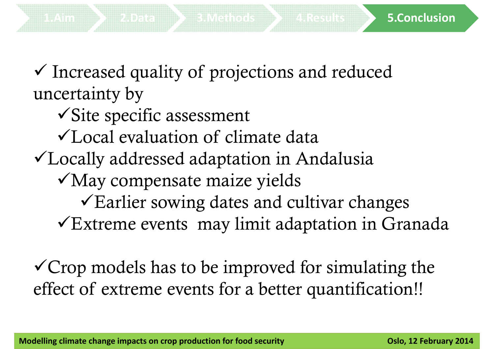$\checkmark$  Increased quality of projections and reduced uncertainty by

- $\checkmark$ Site specific assessment
- Local evaluation of climate data
- $\checkmark$  Locally addressed adaptation in Andalusia
	- May compensate maize yields
		- $\sqrt{\frac{1}{2}}$  Earlier sowing dates and cultivar changes

**1.Aim 2.Data 3.Methods 4.Results 5.Conclusion**

 $\sqrt{\text{Ex}}$ treme events may limit adaptation in Granada

 $\checkmark$  Crop models has to be improved for simulating the effect of extreme events for a better quantification!!